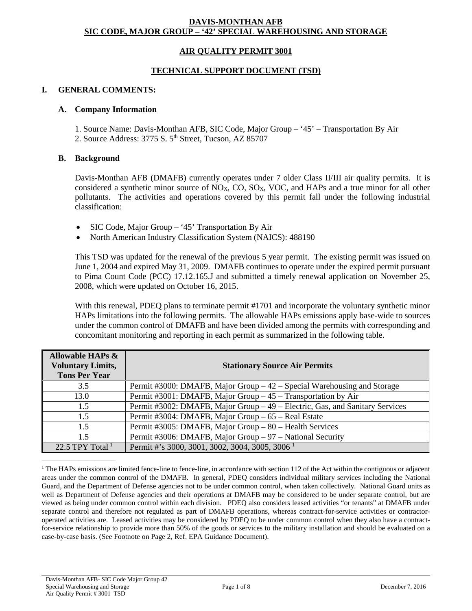## **DAVIS-MONTHAN AFB SIC CODE, MAJOR GROUP – '42' SPECIAL WAREHOUSING AND STORAGE**

## **AIR QUALITY PERMIT 3001**

### **TECHNICAL SUPPORT DOCUMENT (TSD)**

#### **I. GENERAL COMMENTS:**

#### **A. Company Information**

1. Source Name: Davis-Monthan AFB, SIC Code, Major Group – '45' – Transportation By Air 2. Source Address: 3775 S. 5<sup>th</sup> Street, Tucson, AZ 85707

#### **B. Background**

Davis-Monthan AFB (DMAFB) currently operates under 7 older Class II/III air quality permits. It is considered a synthetic minor source of  $NO<sub>X</sub>$ , CO, SO<sub>X</sub>, VOC, and HAPs and a true minor for all other pollutants. The activities and operations covered by this permit fall under the following industrial classification:

- SIC Code, Major Group '45' Transportation By Air
- North American Industry Classification System (NAICS): 488190

This TSD was updated for the renewal of the previous 5 year permit. The existing permit was issued on June 1, 2004 and expired May 31, 2009. DMAFB continues to operate under the expired permit pursuant to Pima Count Code (PCC) 17.12.165.J and submitted a timely renewal application on November 25, 2008, which were updated on October 16, 2015.

With this renewal, PDEQ plans to terminate permit #1701 and incorporate the voluntary synthetic minor HAPs limitations into the following permits. The allowable HAPs emissions apply base-wide to sources under the common control of DMAFB and have been divided among the permits with corresponding and concomitant monitoring and reporting in each permit as summarized in the following table.

| <b>Allowable HAPs &amp;</b><br><b>Voluntary Limits,</b><br><b>Tons Per Year</b> | <b>Stationary Source Air Permits</b>                                         |
|---------------------------------------------------------------------------------|------------------------------------------------------------------------------|
| 3.5                                                                             | Permit #3000: DMAFB, Major Group $-42$ – Special Warehousing and Storage     |
| 13.0                                                                            | Permit #3001: DMAFB, Major Group – 45 – Transportation by Air                |
| 1.5                                                                             | Permit #3002: DMAFB, Major Group – 49 – Electric, Gas, and Sanitary Services |
| 1.5                                                                             | Permit #3004: DMAFB, Major Group – 65 – Real Estate                          |
| 1.5                                                                             | Permit #3005: DMAFB, Major Group - 80 - Health Services                      |
| 1.5                                                                             | Permit #3006: DMAFB, Major Group - 97 - National Security                    |
| 22.5 TPY Total $^1$                                                             | Permit #'s 3000, 3001, 3002, 3004, 3005, 3006 <sup>1</sup>                   |

<sup>&</sup>lt;sup>1</sup> The HAPs emissions are limited fence-line to fence-line, in accordance with section 112 of the Act within the contiguous or adjacent areas under the common control of the DMAFB. In general, PDEQ considers individual military services including the National Guard, and the Department of Defense agencies not to be under common control, when taken collectively. National Guard units as well as Department of Defense agencies and their operations at DMAFB may be considered to be under separate control, but are viewed as being under common control within each division. PDEQ also considers leased activities "or tenants" at DMAFB under separate control and therefore not regulated as part of DMAFB operations, whereas contract-for-service activities or contractoroperated activities are. Leased activities may be considered by PDEQ to be under common control when they also have a contractfor-service relationship to provide more than 50% of the goods or services to the military installation and should be evaluated on a case-by-case basis. (See Footnote on Page 2, Ref. EPA Guidance Document).

 $\frac{1}{2}$  ,  $\frac{1}{2}$  ,  $\frac{1}{2}$  ,  $\frac{1}{2}$  ,  $\frac{1}{2}$  ,  $\frac{1}{2}$  ,  $\frac{1}{2}$  ,  $\frac{1}{2}$  ,  $\frac{1}{2}$  ,  $\frac{1}{2}$  ,  $\frac{1}{2}$  ,  $\frac{1}{2}$  ,  $\frac{1}{2}$  ,  $\frac{1}{2}$  ,  $\frac{1}{2}$  ,  $\frac{1}{2}$  ,  $\frac{1}{2}$  ,  $\frac{1}{2}$  ,  $\frac{1$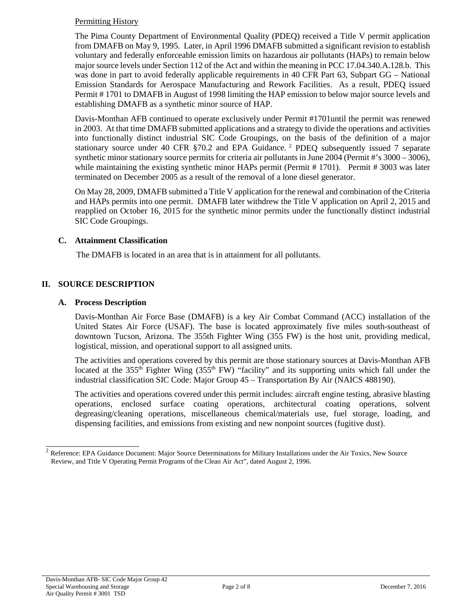## Permitting History

The Pima County Department of Environmental Quality (PDEQ) received a Title V permit application from DMAFB on May 9, 1995. Later, in April 1996 DMAFB submitted a significant revision to establish voluntary and federally enforceable emission limits on hazardous air pollutants (HAPs) to remain below major source levels under Section 112 of the Act and within the meaning in PCC 17.04.340.A.128.b. This was done in part to avoid federally applicable requirements in 40 CFR Part 63, Subpart GG – National Emission Standards for Aerospace Manufacturing and Rework Facilities. As a result, PDEQ issued Permit # 1701 to DMAFB in August of 1998 limiting the HAP emission to below major source levels and establishing DMAFB as a synthetic minor source of HAP.

Davis-Monthan AFB continued to operate exclusively under Permit #1701until the permit was renewed in 2003. At that time DMAFB submitted applications and a strategy to divide the operations and activities into functionally distinct industrial SIC Code Groupings, on the basis of the definition of a major stationary source under 40 CFR §70.2 and EPA Guidance.<sup>2</sup> PDEQ subsequently issued 7 separate synthetic minor stationary source permits for criteria air pollutants in June 2004 (Permit #'s 3000 – 3006), while maintaining the existing synthetic minor HAPs permit (Permit # 1701). Permit # 3003 was later terminated on December 2005 as a result of the removal of a lone diesel generator.

On May 28, 2009, DMAFB submitted a Title V application for the renewal and combination of the Criteria and HAPs permits into one permit. DMAFB later withdrew the Title V application on April 2, 2015 and reapplied on October 16, 2015 for the synthetic minor permits under the functionally distinct industrial SIC Code Groupings.

## **C. Attainment Classification**

The DMAFB is located in an area that is in attainment for all pollutants.

# **II. SOURCE DESCRIPTION**

## **A. Process Description**

\_\_\_\_\_\_\_\_\_\_\_\_\_\_\_\_\_\_\_\_\_\_

Davis-Monthan Air Force Base (DMAFB) is a key Air Combat Command (ACC) installation of the United States Air Force (USAF). The base is located approximately five miles south-southeast of downtown Tucson, Arizona. The 355th Fighter Wing (355 FW) is the host unit, providing medical, logistical, mission, and operational support to all assigned units.

The activities and operations covered by this permit are those stationary sources at Davis-Monthan AFB located at the 355<sup>th</sup> Fighter Wing (355<sup>th</sup> FW) "facility" and its supporting units which fall under the industrial classification SIC Code: Major Group 45 – Transportation By Air (NAICS 488190).

The activities and operations covered under this permit includes: aircraft engine testing, abrasive blasting operations, enclosed surface coating operations, architectural coating operations, solvent degreasing/cleaning operations, miscellaneous chemical/materials use, fuel storage, loading, and dispensing facilities, and emissions from existing and new nonpoint sources (fugitive dust).

 $2$  Reference: EPA Guidance Document: Major Source Determinations for Military Installations under the Air Toxics, New Source Review, and Title V Operating Permit Programs of the Clean Air Act", dated August 2, 1996.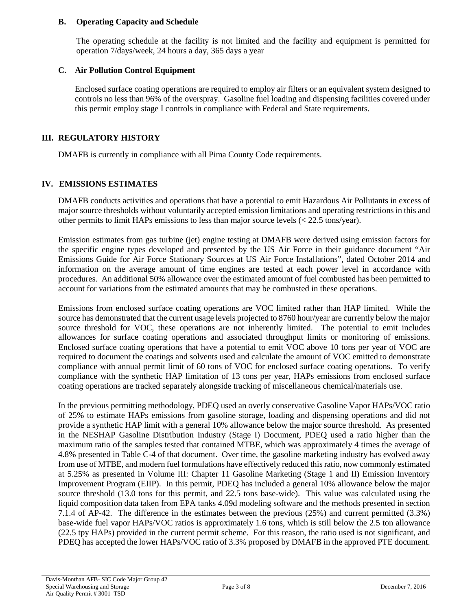## **B. Operating Capacity and Schedule**

The operating schedule at the facility is not limited and the facility and equipment is permitted for operation 7/days/week, 24 hours a day, 365 days a year

## **C. Air Pollution Control Equipment**

Enclosed surface coating operations are required to employ air filters or an equivalent system designed to controls no less than 96% of the overspray. Gasoline fuel loading and dispensing facilities covered under this permit employ stage I controls in compliance with Federal and State requirements.

# **III. REGULATORY HISTORY**

DMAFB is currently in compliance with all Pima County Code requirements.

# **IV. EMISSIONS ESTIMATES**

DMAFB conducts activities and operations that have a potential to emit Hazardous Air Pollutants in excess of major source thresholds without voluntarily accepted emission limitations and operating restrictions in this and other permits to limit HAPs emissions to less than major source levels (< 22.5 tons/year).

Emission estimates from gas turbine (jet) engine testing at DMAFB were derived using emission factors for the specific engine types developed and presented by the US Air Force in their guidance document "Air Emissions Guide for Air Force Stationary Sources at US Air Force Installations", dated October 2014 and information on the average amount of time engines are tested at each power level in accordance with procedures. An additional 50% allowance over the estimated amount of fuel combusted has been permitted to account for variations from the estimated amounts that may be combusted in these operations.

Emissions from enclosed surface coating operations are VOC limited rather than HAP limited. While the source has demonstrated that the current usage levels projected to 8760 hour/year are currently below the major source threshold for VOC, these operations are not inherently limited. The potential to emit includes allowances for surface coating operations and associated throughput limits or monitoring of emissions. Enclosed surface coating operations that have a potential to emit VOC above 10 tons per year of VOC are required to document the coatings and solvents used and calculate the amount of VOC emitted to demonstrate compliance with annual permit limit of 60 tons of VOC for enclosed surface coating operations. To verify compliance with the synthetic HAP limitation of 13 tons per year, HAPs emissions from enclosed surface coating operations are tracked separately alongside tracking of miscellaneous chemical/materials use.

In the previous permitting methodology, PDEQ used an overly conservative Gasoline Vapor HAPs/VOC ratio of 25% to estimate HAPs emissions from gasoline storage, loading and dispensing operations and did not provide a synthetic HAP limit with a general 10% allowance below the major source threshold. As presented in the NESHAP Gasoline Distribution Industry (Stage I) Document, PDEQ used a ratio higher than the maximum ratio of the samples tested that contained MTBE, which was approximately 4 times the average of 4.8% presented in Table C-4 of that document. Over time, the gasoline marketing industry has evolved away from use of MTBE, and modern fuel formulations have effectively reduced this ratio, now commonly estimated at 5.25% as presented in Volume III: Chapter 11 Gasoline Marketing (Stage 1 and II) Emission Inventory Improvement Program (EIIP). In this permit, PDEQ has included a general 10% allowance below the major source threshold (13.0 tons for this permit, and 22.5 tons base-wide). This value was calculated using the liquid composition data taken from EPA tanks 4.09d modeling software and the methods presented in section 7.1.4 of AP-42. The difference in the estimates between the previous (25%) and current permitted (3.3%) base-wide fuel vapor HAPs/VOC ratios is approximately 1.6 tons, which is still below the 2.5 ton allowance (22.5 tpy HAPs) provided in the current permit scheme. For this reason, the ratio used is not significant, and PDEQ has accepted the lower HAPs/VOC ratio of 3.3% proposed by DMAFB in the approved PTE document.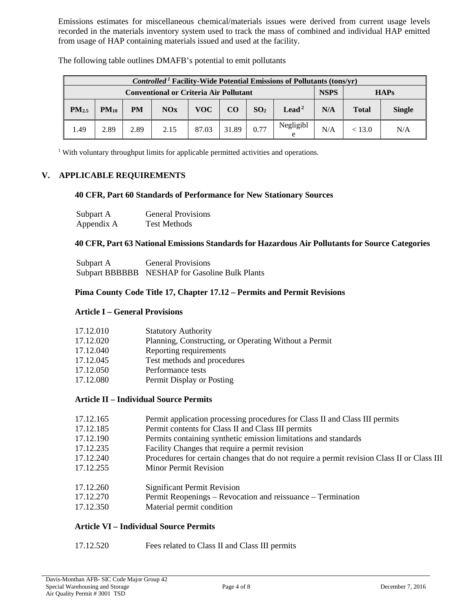Emissions estimates for miscellaneous chemical/materials issues were derived from current usage levels recorded in the materials inventory system used to track the mass of combined and individual HAP emitted from usage of HAP containing materials issued and used at the facility.

| <i>Controlled</i> <sup>1</sup> Facility-Wide Potential Emissions of Pollutants (tons/yr) |                                               |           |      |       |             |                 |                   |     |              |               |
|------------------------------------------------------------------------------------------|-----------------------------------------------|-----------|------|-------|-------------|-----------------|-------------------|-----|--------------|---------------|
|                                                                                          | <b>Conventional or Criteria Air Pollutant</b> |           |      |       | <b>NSPS</b> |                 | <b>HAPs</b>       |     |              |               |
| PM <sub>2.5</sub>                                                                        | $PM_{10}$                                     | <b>PM</b> | NOx  | VOC-  | CO          | SO <sub>2</sub> | Lead <sup>2</sup> | N/A | <b>Total</b> | <b>Single</b> |
| .49                                                                                      | 2.89                                          | 2.89      | 2.15 | 87.03 | 31.89       | 0.77            | Negligibl<br>e    | N/A | < 13.0       | N/A           |

The following table outlines DMAFB's potential to emit pollutants

<sup>1</sup> With voluntary throughput limits for applicable permitted activities and operations.

### **V. APPLICABLE REQUIREMENTS**

#### **40 CFR, Part 60 Standards of Performance for New Stationary Sources**

| Subpart A  | <b>General Provisions</b> |
|------------|---------------------------|
| Appendix A | <b>Test Methods</b>       |

### **40 CFR, Part 63 National Emissions Standards for Hazardous Air Pollutants for Source Categories**

| Subpart A | <b>General Provisions</b>                      |
|-----------|------------------------------------------------|
|           | Subpart BBBBBB NESHAP for Gasoline Bulk Plants |

### **Pima County Code Title 17, Chapter 17.12 – Permits and Permit Revisions**

### **Article I – General Provisions**

| 17.12.010 | <b>Statutory Authority</b>                            |
|-----------|-------------------------------------------------------|
| 17.12.020 | Planning, Constructing, or Operating Without a Permit |
| 17.12.040 | Reporting requirements                                |
| 17.12.045 | Test methods and procedures                           |
| 17.12.050 | Performance tests                                     |
| 17.12.080 | Permit Display or Posting                             |

# **Article II – Individual Source Permits**

| 17.12.165 | Permit application processing procedures for Class II and Class III permits                |
|-----------|--------------------------------------------------------------------------------------------|
| 17.12.185 | Permit contents for Class II and Class III permits                                         |
| 17.12.190 | Permits containing synthetic emission limitations and standards                            |
| 17.12.235 | Facility Changes that require a permit revision                                            |
| 17.12.240 | Procedures for certain changes that do not require a permit revision Class II or Class III |
| 17.12.255 | <b>Minor Permit Revision</b>                                                               |
| 17.12.260 | <b>Significant Permit Revision</b>                                                         |
| 17.12.270 | Permit Reopenings – Revocation and reissuance – Termination                                |
| 17.12.350 | Material permit condition                                                                  |
|           |                                                                                            |
|           |                                                                                            |

# **Article VI – Individual Source Permits**

17.12.520 Fees related to Class II and Class III permits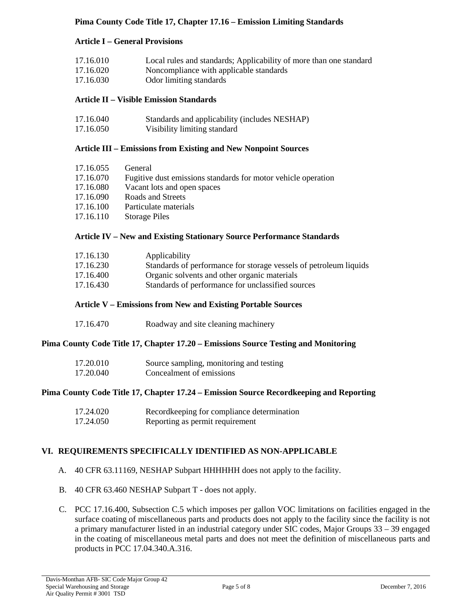# **Pima County Code Title 17, Chapter 17.16 – Emission Limiting Standards**

# **Article I – General Provisions**

| 17.16.010 | Local rules and standards; Applicability of more than one standard |
|-----------|--------------------------------------------------------------------|
| 17.16.020 | Noncompliance with applicable standards                            |
| 17.16.030 | Odor limiting standards                                            |

# **Article II – Visible Emission Standards**

| 17.16.040 | Standards and applicability (includes NESHAP) |
|-----------|-----------------------------------------------|
| 17.16.050 | Visibility limiting standard                  |

## **Article III – Emissions from Existing and New Nonpoint Sources**

| General                                                       |
|---------------------------------------------------------------|
| Fugitive dust emissions standards for motor vehicle operation |
| Vacant lots and open spaces                                   |
| Roads and Streets                                             |
| Particulate materials                                         |
| <b>Storage Piles</b>                                          |
|                                                               |

### **Article IV – New and Existing Stationary Source Performance Standards**

| 17.16.130 | Applicability                                                     |
|-----------|-------------------------------------------------------------------|
| 17.16.230 | Standards of performance for storage vessels of petroleum liquids |
| 17.16.400 | Organic solvents and other organic materials                      |
| 17.16.430 | Standards of performance for unclassified sources                 |
|           |                                                                   |

### **Article V – Emissions from New and Existing Portable Sources**

| 17.16.470 |  | Roadway and site cleaning machinery |
|-----------|--|-------------------------------------|
|-----------|--|-------------------------------------|

### **Pima County Code Title 17, Chapter 17.20 – Emissions Source Testing and Monitoring**

| 17.20.010 | Source sampling, monitoring and testing |
|-----------|-----------------------------------------|
| 17.20.040 | Concealment of emissions                |

### **Pima County Code Title 17, Chapter 17.24 – Emission Source Recordkeeping and Reporting**

| 17.24.020 | Recordkeeping for compliance determination |
|-----------|--------------------------------------------|
| 17.24.050 | Reporting as permit requirement            |

### **VI. REQUIREMENTS SPECIFICALLY IDENTIFIED AS NON-APPLICABLE**

- A. 40 CFR 63.11169, NESHAP Subpart HHHHHH does not apply to the facility.
- B. 40 CFR 63.460 NESHAP Subpart T does not apply.
- C. PCC 17.16.400, Subsection C.5 which imposes per gallon VOC limitations on facilities engaged in the surface coating of miscellaneous parts and products does not apply to the facility since the facility is not a primary manufacturer listed in an industrial category under SIC codes, Major Groups 33 – 39 engaged in the coating of miscellaneous metal parts and does not meet the definition of miscellaneous parts and products in PCC 17.04.340.A.316.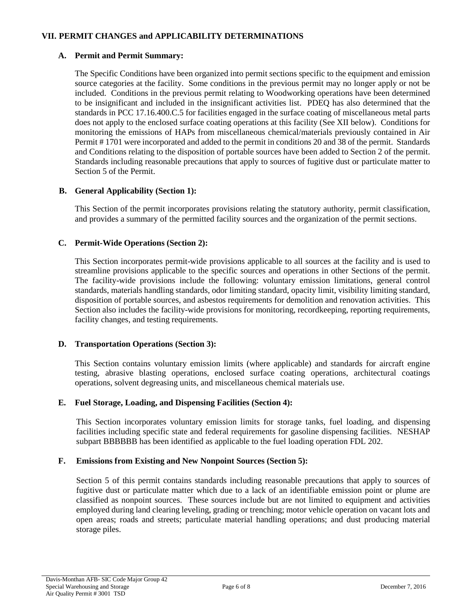## **VII. PERMIT CHANGES and APPLICABILITY DETERMINATIONS**

### **A. Permit and Permit Summary:**

The Specific Conditions have been organized into permit sections specific to the equipment and emission source categories at the facility. Some conditions in the previous permit may no longer apply or not be included. Conditions in the previous permit relating to Woodworking operations have been determined to be insignificant and included in the insignificant activities list. PDEQ has also determined that the standards in PCC 17.16.400.C.5 for facilities engaged in the surface coating of miscellaneous metal parts does not apply to the enclosed surface coating operations at this facility (See XII below). Conditions for monitoring the emissions of HAPs from miscellaneous chemical/materials previously contained in Air Permit # 1701 were incorporated and added to the permit in conditions 20 and 38 of the permit. Standards and Conditions relating to the disposition of portable sources have been added to Section 2 of the permit. Standards including reasonable precautions that apply to sources of fugitive dust or particulate matter to Section 5 of the Permit.

## **B. General Applicability (Section 1):**

This Section of the permit incorporates provisions relating the statutory authority, permit classification, and provides a summary of the permitted facility sources and the organization of the permit sections.

### **C. Permit-Wide Operations (Section 2):**

This Section incorporates permit-wide provisions applicable to all sources at the facility and is used to streamline provisions applicable to the specific sources and operations in other Sections of the permit. The facility-wide provisions include the following: voluntary emission limitations, general control standards, materials handling standards, odor limiting standard, opacity limit, visibility limiting standard, disposition of portable sources, and asbestos requirements for demolition and renovation activities. This Section also includes the facility-wide provisions for monitoring, recordkeeping, reporting requirements, facility changes, and testing requirements.

### **D. Transportation Operations (Section 3):**

This Section contains voluntary emission limits (where applicable) and standards for aircraft engine testing, abrasive blasting operations, enclosed surface coating operations, architectural coatings operations, solvent degreasing units, and miscellaneous chemical materials use.

### **E. Fuel Storage, Loading, and Dispensing Facilities (Section 4):**

This Section incorporates voluntary emission limits for storage tanks, fuel loading, and dispensing facilities including specific state and federal requirements for gasoline dispensing facilities. NESHAP subpart BBBBBB has been identified as applicable to the fuel loading operation FDL 202.

### **F. Emissions from Existing and New Nonpoint Sources (Section 5):**

Section 5 of this permit contains standards including reasonable precautions that apply to sources of fugitive dust or particulate matter which due to a lack of an identifiable emission point or plume are classified as nonpoint sources. These sources include but are not limited to equipment and activities employed during land clearing leveling, grading or trenching; motor vehicle operation on vacant lots and open areas; roads and streets; particulate material handling operations; and dust producing material storage piles.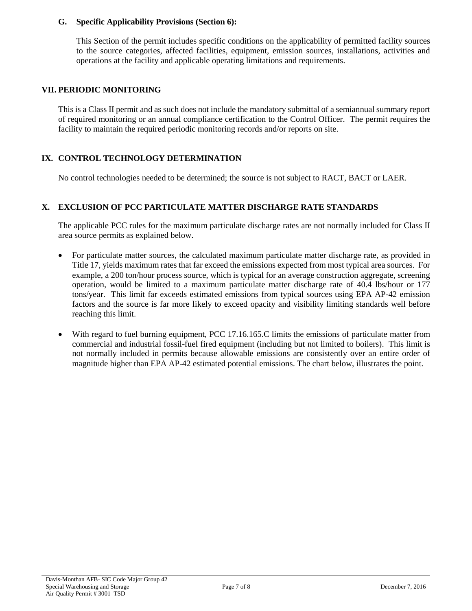### **G. Specific Applicability Provisions (Section 6):**

This Section of the permit includes specific conditions on the applicability of permitted facility sources to the source categories, affected facilities, equipment, emission sources, installations, activities and operations at the facility and applicable operating limitations and requirements.

## **VII. PERIODIC MONITORING**

This is a Class II permit and as such does not include the mandatory submittal of a semiannual summary report of required monitoring or an annual compliance certification to the Control Officer. The permit requires the facility to maintain the required periodic monitoring records and/or reports on site.

## **IX. CONTROL TECHNOLOGY DETERMINATION**

No control technologies needed to be determined; the source is not subject to RACT, BACT or LAER.

### **X. EXCLUSION OF PCC PARTICULATE MATTER DISCHARGE RATE STANDARDS**

The applicable PCC rules for the maximum particulate discharge rates are not normally included for Class II area source permits as explained below.

- For particulate matter sources, the calculated maximum particulate matter discharge rate, as provided in Title 17, yields maximum rates that far exceed the emissions expected from most typical area sources. For example, a 200 ton/hour process source, which is typical for an average construction aggregate, screening operation, would be limited to a maximum particulate matter discharge rate of 40.4 lbs/hour or 177 tons/year. This limit far exceeds estimated emissions from typical sources using EPA AP-42 emission factors and the source is far more likely to exceed opacity and visibility limiting standards well before reaching this limit.
- With regard to fuel burning equipment, PCC 17.16.165.C limits the emissions of particulate matter from commercial and industrial fossil-fuel fired equipment (including but not limited to boilers). This limit is not normally included in permits because allowable emissions are consistently over an entire order of magnitude higher than EPA AP-42 estimated potential emissions. The chart below, illustrates the point.